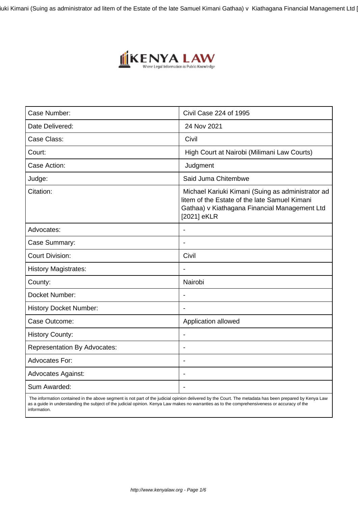iuki Kimani (Suing as administrator ad litem of the Estate of the late Samuel Kimani Gathaa) v Kiathagana Financial Management Ltd |



| Case Number:                        | Civil Case 224 of 1995                                                                                                                                             |
|-------------------------------------|--------------------------------------------------------------------------------------------------------------------------------------------------------------------|
| Date Delivered:                     | 24 Nov 2021                                                                                                                                                        |
| Case Class:                         | Civil                                                                                                                                                              |
| Court:                              | High Court at Nairobi (Milimani Law Courts)                                                                                                                        |
| Case Action:                        | Judgment                                                                                                                                                           |
| Judge:                              | Said Juma Chitembwe                                                                                                                                                |
| Citation:                           | Michael Kariuki Kimani (Suing as administrator ad<br>litem of the Estate of the late Samuel Kimani<br>Gathaa) v Kiathagana Financial Management Ltd<br>[2021] eKLR |
| Advocates:                          | $\blacksquare$                                                                                                                                                     |
| Case Summary:                       |                                                                                                                                                                    |
| <b>Court Division:</b>              | Civil                                                                                                                                                              |
| <b>History Magistrates:</b>         | $\overline{\phantom{a}}$                                                                                                                                           |
| County:                             | Nairobi                                                                                                                                                            |
| Docket Number:                      | $\overline{\phantom{a}}$                                                                                                                                           |
| <b>History Docket Number:</b>       |                                                                                                                                                                    |
| Case Outcome:                       | Application allowed                                                                                                                                                |
| <b>History County:</b>              | $\blacksquare$                                                                                                                                                     |
| <b>Representation By Advocates:</b> |                                                                                                                                                                    |
| <b>Advocates For:</b>               | $\overline{\phantom{a}}$                                                                                                                                           |
| <b>Advocates Against:</b>           | $\blacksquare$                                                                                                                                                     |
| Sum Awarded:                        |                                                                                                                                                                    |

 The information contained in the above segment is not part of the judicial opinion delivered by the Court. The metadata has been prepared by Kenya Law as a guide in understanding the subject of the judicial opinion. Kenya Law makes no warranties as to the comprehensiveness or accuracy of the information.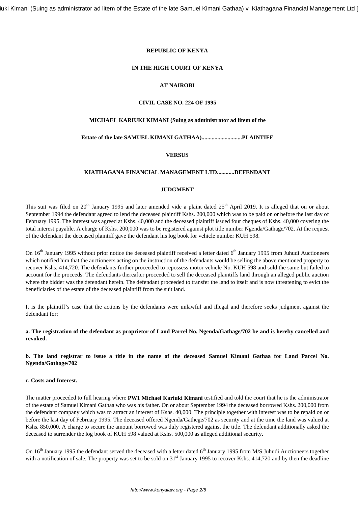iuki Kimani (Suing as administrator ad litem of the Estate of the late Samuel Kimani Gathaa) v Kiathagana Financial Management Ltd |

#### **REPUBLIC OF KENYA**

#### **IN THE HIGH COURT OF KENYA**

# **AT NAIROBI**

## **CIVIL CASE NO. 224 OF 1995**

#### **MICHAEL KARIUKI KIMANI (Suing as administrator ad litem of the**

# **Estate of the late SAMUEL KIMANI GATHAA)............................PLAINTIFF**

#### **VERSUS**

#### **KIATHAGANA FINANCIAL MANAGEMENT LTD............DEFENDANT**

### **JUDGMENT**

This suit was filed on 20<sup>th</sup> January 1995 and later amended vide a plaint dated 25<sup>th</sup> April 2019. It is alleged that on or about September 1994 the defendant agreed to lend the deceased plaintiff Kshs. 200,000 which was to be paid on or before the last day of February 1995. The interest was agreed at Kshs. 40,000 and the deceased plaintiff issued four cheques of Kshs. 40,000 covering the total interest payable. A charge of Kshs. 200,000 was to be registered against plot title number Ngenda/Gathage/702. At the request of the defendant the deceased plaintiff gave the defendant his log book for vehicle number KUH 598.

On  $16<sup>th</sup>$  January 1995 without prior notice the deceased plaintiff received a letter dated  $6<sup>th</sup>$  January 1995 from Juhudi Auctioneers which notified him that the auctioneers acting on the instruction of the defendants would be selling the above mentioned property to recover Kshs. 414,720. The defendants further proceeded to repossess motor vehicle No. KUH 598 and sold the same but failed to account for the proceeds. The defendants thereafter proceeded to sell the deceased plaintiffs land through an alleged public auction where the bidder was the defendant herein. The defendant proceeded to transfer the land to itself and is now threatening to evict the beneficiaries of the estate of the deceased plaintiff from the suit land.

It is the plaintiff's case that the actions by the defendants were unlawful and illegal and therefore seeks judgment against the defendant for;

**a. The registration of the defendant as proprietor of Land Parcel No. Ngenda/Gathage/702 be and is hereby cancelled and revoked.**

### **b. The land registrar to issue a title in the name of the deceased Samuel Kimani Gathaa for Land Parcel No. Ngenda/Gathage/702**

### **c. Costs and Interest.**

The matter proceeded to full hearing where **PW1 Michael Kariuki Kimani** testified and told the court that he is the administrator of the estate of Samuel Kimani Gathaa who was his father. On or about September 1994 the deceased borrowed Kshs. 200,000 from the defendant company which was to attract an interest of Kshs. 40,000. The principle together with interest was to be repaid on or before the last day of February 1995. The deceased offered Ngenda/Gathege/702 as security and at the time the land was valued at Kshs. 850,000. A charge to secure the amount borrowed was duly registered against the title. The defendant additionally asked the deceased to surrender the log book of KUH 598 valued at Kshs. 500,000 as alleged additional security.

On  $16<sup>th</sup>$  January 1995 the defendant served the deceased with a letter dated  $6<sup>th</sup>$  January 1995 from M/S Juhudi Auctioneers together with a notification of sale. The property was set to be sold on 31<sup>st</sup> January 1995 to recover Kshs. 414,720 and by then the deadline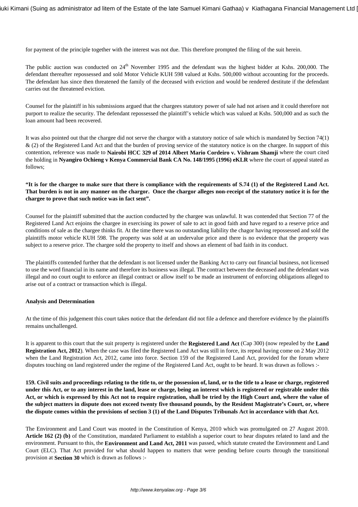for payment of the principle together with the interest was not due. This therefore prompted the filing of the suit herein.

The public auction was conducted on  $24<sup>th</sup>$  November 1995 and the defendant was the highest bidder at Kshs. 200,000. The defendant thereafter repossessed and sold Motor Vehicle KUH 598 valued at Kshs. 500,000 without accounting for the proceeds. The defendant has since then threatened the family of the deceased with eviction and would be rendered destitute if the defendant carries out the threatened eviction.

Counsel for the plaintiff in his submissions argued that the chargees statutory power of sale had not arisen and it could therefore not purport to realize the security. The defendant repossessed the plaintiff's vehicle which was valued at Kshs. 500,000 and as such the loan amount had been recovered.

It was also pointed out that the chargee did not serve the chargor with a statutory notice of sale which is mandated by Section 74(1) & (2) of the Registered Land Act and that the burden of proving service of the statutory notice is on the chargee. In support of this contention, reference was made to **Nairobi HCC 329 of 2014 Albert Mario Cordeiro v. Vishram Shamji** where the court cited the holding in **Nyangiro Ochieng v Kenya Commercial Bank CA No. 148/1995 (1996) eKLR** where the court of appeal stated as follows;

**"It is for the chargee to make sure that there is compliance with the requirements of S.74 (1) of the Registered Land Act. That burden is not in any manner on the chargor. Once the chargor alleges non-receipt of the statutory notice it is for the chargee to prove that such notice was in fact sent".**

Counsel for the plaintiff submitted that the auction conducted by the chargee was unlawful. It was contended that Section 77 of the Registered Land Act enjoins the chargee in exercising its power of sale to act in good faith and have regard to a reserve price and conditions of sale as the chargee thinks fit. At the time there was no outstanding liability the chagor having repossessed and sold the plaintiffs motor vehicle KUH 598. The property was sold at an undervalue price and there is no evidence that the property was subject to a reserve price. The chargee sold the property to itself and shows an element of bad faith in its conduct.

The plaintiffs contended further that the defendant is not licensed under the Banking Act to carry out financial business, not licensed to use the word financial in its name and therefore its business was illegal. The contract between the deceased and the defendant was illegal and no court ought to enforce an illegal contract or allow itself to be made an instrument of enforcing obligations alleged to arise out of a contract or transaction which is illegal.

## **Analysis and Determination**

At the time of this judgement this court takes notice that the defendant did not file a defence and therefore evidence by the plaintiffs remains unchallenged.

It is apparent to this court that the suit property is registered under the **Registered Land Act** (Cap 300) (now repealed by the **Land Registration Act, 2012**). When the case was filed the Registered Land Act was still in force, its repeal having come on 2 May 2012 when the Land Registration Act, 2012, came into force. Section 159 of the Registered Land Act, provided for the forum where disputes touching on land registered under the regime of the Registered Land Act, ought to be heard. It was drawn as follows :-

**159. Civil suits and proceedings relating to the title to, or the possession of, land, or to the title to a lease or charge, registered under this Act, or to any interest in the land, lease or charge, being an interest which is registered or registrable under this Act, or which is expressed by this Act not to require registration, shall be tried by the High Court and, where the value of the subject matters in dispute does not exceed twenty five thousand pounds, by the Resident Magistrate's Court, or, where the dispute comes within the provisions of section 3 (1) of the Land Disputes Tribunals Act in accordance with that Act.**

The Environment and Land Court was mooted in the Constitution of Kenya, 2010 which was promulgated on 27 August 2010. **Article 162 (2) (b)** of the Constitution, mandated Parliament to establish a superior court to hear disputes related to land and the environment. Pursuant to this, the **Environment and Land Act, 2011** was passed, which statute created the Environment and Land Court (ELC). That Act provided for what should happen to matters that were pending before courts through the transitional provision at **Section 30** which is drawn as follows :-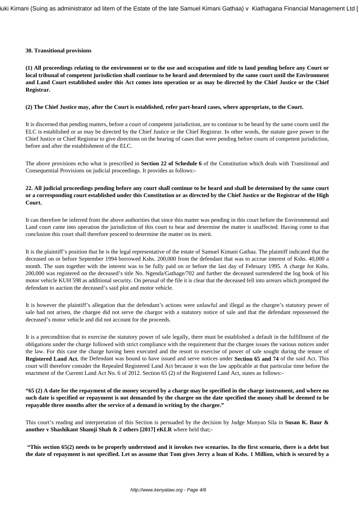### **30. Transitional provisions**

**(1) All proceedings relating to the environment or to the use and occupation and title to land pending before any Court or local tribunal of competent jurisdiction shall continue to be heard and determined by the same court until the Environment and Land Court established under this Act comes into operation or as may be directed by the Chief Justice or the Chief Registrar.**

### **(2) The Chief Justice may, after the Court is established, refer part-heard cases, where appropriate, to the Court.**

It is discerned that pending matters, before a court of competent jurisdiction, are to continue to be heard by the same courts until the ELC is established or as may be directed by the Chief Justice or the Chief Registrar. In other words, the statute gave power to the Chief Justice or Chief Registrar to give directions on the hearing of cases that were pending before courts of competent jurisdiction, before and after the establishment of the ELC.

The above provisions echo what is prescribed in **Section 22 of Schedule 6** of the Constitution which deals with Transitional and Consequential Provisions on judicial proceedings. It provides as follows:-

# **22. All judicial proceedings pending before any court shall continue to be heard and shall be determined by the same court or a corresponding court established under this Constitution or as directed by the Chief Justice or the Registrar of the High Court.**

It can therefore be inferred from the above authorities that since this matter was pending in this court before the Environmental and Land court came into operation the jurisdiction of this court to hear and determine the matter is unaffected. Having come to that conclusion this court shall therefore proceed to determine the matter on its merit.

It is the plaintiff's position that he is the legal representative of the estate of Samuel Kimani Gathaa. The plaintiff indicated that the deceased on or before September 1994 borrowed Kshs. 200,000 from the defendant that was to accrue interest of Kshs. 40,000 a month. The sum together with the interest was to be fully paid on or before the last day of February 1995. A charge for Kshs. 200,000 was registered on the deceased's title No. Ngenda/Gathage/702 and further the deceased surrendered the log book of his motor vehicle KUH 598 as additional security. On perusal of the file it is clear that the deceased fell into arrears which prompted the defendant to auction the deceased's said plot and motor vehicle.

It is however the plaintiff's allegation that the defendant's actions were unlawful and illegal as the chargee's statutory power of sale had not arisen, the chargee did not serve the chargor with a statutory notice of sale and that the defendant repossessed the deceased's motor vehicle and did not account for the proceeds.

It is a precondition that to exercise the statutory power of sale legally, there must be established a default in the fulfillment of the obligations under the charge followed with strict compliance with the requirement that the chargee issues the various notices under the law. For this case the charge having been executed and the resort to exercise of power of sale sought during the tenure of **Registered Land Act**, the Defendant was bound to have issued and serve notices under **Section 65 and 74** of the said Act. This court will therefore consider the Repealed Registered Land Act because it was the law applicable at that particular time before the enactment of the Current Land Act No. 6 of 2012. Section 65 (2) of the Registered Land Act, states as follows:-

**"65 (2) A date for the repayment of the money secured by a charge may be specified in the charge instrument, and where no such date is specified or repayment is not demanded by the chargee on the date specified the money shall be deemed to be repayable three months after the service of a demand in writing by the chargee."**

This court's reading and interpretation of this Section is persuaded by the decision by Judge Munyao Sila in **Susan K. Baur & another v Shashikant Shamji Shah & 2 others [2017] eKLR** where held that;-

**"This section 65(2) needs to be properly understood and it invokes two scenarios. In the first scenario, there is a debt but the date of repayment is not specified. Let us assume that Tom gives Jerry a loan of Kshs. 1 Million, which is secured by a**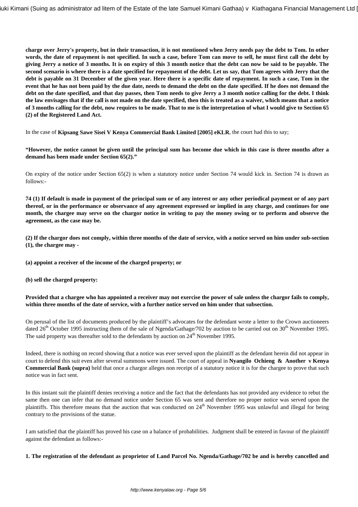**charge over Jerry's property, but in their transaction, it is not mentioned when Jerry needs pay the debt to Tom. In other words, the date of repayment is not specified. In such a case, before Tom can move to sell, he must first call the debt by giving Jerry a notice of 3 months. It is on expiry of this 3 month notice that the debt can now be said to be payable. The second scenario is where there is a date specified for repayment of the debt. Let us say, that Tom agrees with Jerry that the debt is payable on 31 December of the given year. Here there is a specific date of repayment. In such a case, Tom in the event that he has not been paid by the due date, needs to demand the debt on the date specified. If he does not demand the debt on the date specified, and that day passes, then Tom needs to give Jerry a 3 month notice calling for the debt. I think the law envisages that if the call is not made on the date specified, then this is treated as a waiver, which means that a notice of 3 months calling for the debt, now requires to be made. That to me is the interpretation of what I would give to Section 65 (2) of the Registered Land Act.**

In the case of **Kipsang Sawe Sisei V Kenya Commercial Bank Limited [2005] eKLR**, the court had this to say;

**"However, the notice cannot be given until the principal sum has become due which in this case is three months after a demand has been made under Section 65(2)."** 

On expiry of the notice under Section 65(2) is when a statutory notice under Section 74 would kick in. Section 74 is drawn as follows:-

**74 (1) If default is made in payment of the principal sum or of any interest or any other periodical payment or of any part thereof, or in the performance or observance of any agreement expressed or implied in any charge, and continues for one month, the chargee may serve on the chargor notice in writing to pay the money owing or to perform and observe the agreement, as the case may be.**

**(2) If the chargor does not comply, within three months of the date of service, with a notice served on him under sub-section (1), the chargee may -**

- **(a) appoint a receiver of the income of the charged property; or**
- **(b) sell the charged property:**

## **Provided that a chargee who has appointed a receiver may not exercise the power of sale unless the chargor fails to comply, within three months of the date of service, with a further notice served on him under that subsection.**

On perusal of the list of documents produced by the plaintiff's advocates for the defendant wrote a letter to the Crown auctioneers dated  $26<sup>th</sup>$  October 1995 instructing them of the sale of Ngenda/Gathage/702 by auction to be carried out on  $30<sup>th</sup>$  November 1995. The said property was thereafter sold to the defendants by auction on  $24<sup>th</sup>$  November 1995.

Indeed, there is nothing on record showing that a notice was ever served upon the plaintiff as the defendant herein did not appear in court to defend this suit even after several summons were issued. The court of appeal in **Nyangilo Ochieng & Another v Kenya Commercial Bank (supra)** held that once a chargor alleges non receipt of a statutory notice it is for the chargee to prove that such notice was in fact sent.

In this instant suit the plaintiff denies receiving a notice and the fact that the defendants has not provided any evidence to rebut the same then one can infer that no demand notice under Section 65 was sent and therefore no proper notice was served upon the plaintiffs. This therefore means that the auction that was conducted on  $24<sup>th</sup>$  November 1995 was unlawful and illegal for being contrary to the provisions of the statue.

I am satisfied that the plaintiff has proved his case on a balance of probabilities. Judgment shall be entered in favour of the plaintiff against the defendant as follows:-

**1. The registration of the defendant as proprietor of Land Parcel No. Ngenda/Gathage/702 be and is hereby cancelled and**